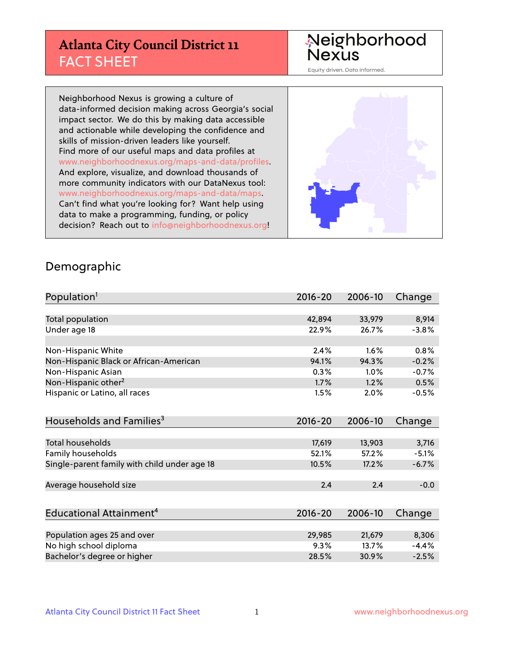## **Atlanta City Council District 11** FACT SHEET

#### Neighborhood Nexus

Equity driven. Data informed.

Neighborhood Nexus is growing a culture of data-informed decision making across Georgia's social impact sector. We do this by making data accessible and actionable while developing the confidence and skills of mission-driven leaders like yourself. Find more of our useful maps and data profiles at www.neighborhoodnexus.org/maps-and-data/profiles. And explore, visualize, and download thousands of more community indicators with our DataNexus tool: www.neighborhoodnexus.org/maps-and-data/maps. Can't find what you're looking for? Want help using data to make a programming, funding, or policy decision? Reach out to [info@neighborhoodnexus.org!](mailto:info@neighborhoodnexus.org)



#### Demographic

| Population <sup>1</sup>                      | $2016 - 20$ | 2006-10 | Change  |
|----------------------------------------------|-------------|---------|---------|
|                                              |             |         |         |
| Total population                             | 42,894      | 33,979  | 8,914   |
| Under age 18                                 | 22.9%       | 26.7%   | $-3.8%$ |
|                                              |             |         |         |
| Non-Hispanic White                           | 2.4%        | 1.6%    | 0.8%    |
| Non-Hispanic Black or African-American       | 94.1%       | 94.3%   | $-0.2%$ |
| Non-Hispanic Asian                           | 0.3%        | 1.0%    | $-0.7%$ |
| Non-Hispanic other <sup>2</sup>              | 1.7%        | 1.2%    | 0.5%    |
| Hispanic or Latino, all races                | 1.5%        | 2.0%    | $-0.5%$ |
|                                              |             |         |         |
| Households and Families <sup>3</sup>         | $2016 - 20$ | 2006-10 | Change  |
|                                              |             |         |         |
| <b>Total households</b>                      | 17,619      | 13,903  | 3,716   |
| Family households                            | 52.1%       | 57.2%   | $-5.1%$ |
| Single-parent family with child under age 18 | 10.5%       | 17.2%   | $-6.7%$ |
|                                              |             |         |         |
| Average household size                       | 2.4         | 2.4     | $-0.0$  |
|                                              |             |         |         |
| Educational Attainment <sup>4</sup>          | $2016 - 20$ | 2006-10 | Change  |
|                                              |             |         |         |
| Population ages 25 and over                  | 29,985      | 21,679  | 8,306   |
| No high school diploma                       | 9.3%        | 13.7%   | $-4.4%$ |
| Bachelor's degree or higher                  | 28.5%       | 30.9%   | $-2.5%$ |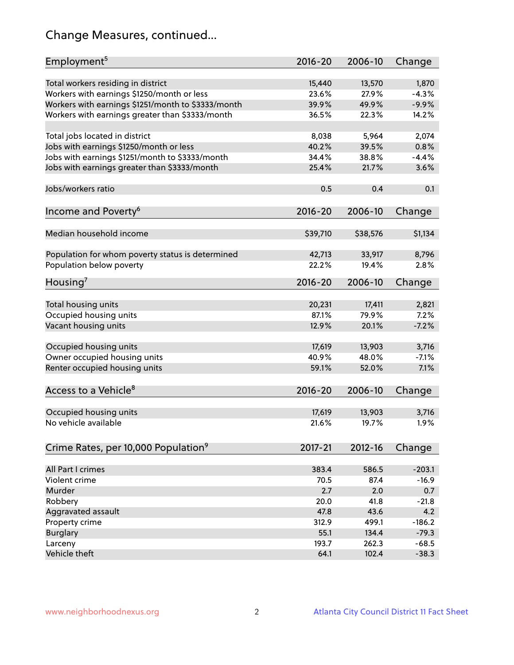# Change Measures, continued...

| Employment <sup>5</sup>                            | $2016 - 20$ | 2006-10  | Change   |
|----------------------------------------------------|-------------|----------|----------|
| Total workers residing in district                 | 15,440      | 13,570   | 1,870    |
| Workers with earnings \$1250/month or less         | 23.6%       | 27.9%    | $-4.3%$  |
| Workers with earnings \$1251/month to \$3333/month | 39.9%       | 49.9%    | $-9.9%$  |
| Workers with earnings greater than \$3333/month    | 36.5%       | 22.3%    | 14.2%    |
|                                                    |             |          |          |
| Total jobs located in district                     | 8,038       | 5,964    | 2,074    |
| Jobs with earnings \$1250/month or less            | 40.2%       | 39.5%    | 0.8%     |
| Jobs with earnings \$1251/month to \$3333/month    | 34.4%       | 38.8%    | $-4.4%$  |
| Jobs with earnings greater than \$3333/month       | 25.4%       | 21.7%    | 3.6%     |
|                                                    |             |          |          |
| Jobs/workers ratio                                 | 0.5         | 0.4      | 0.1      |
|                                                    |             |          |          |
| Income and Poverty <sup>6</sup>                    | $2016 - 20$ | 2006-10  | Change   |
|                                                    |             |          |          |
| Median household income                            | \$39,710    | \$38,576 | \$1,134  |
|                                                    |             |          |          |
| Population for whom poverty status is determined   | 42,713      | 33,917   | 8,796    |
| Population below poverty                           | 22.2%       | 19.4%    | 2.8%     |
|                                                    |             |          |          |
| Housing <sup>7</sup>                               | $2016 - 20$ | 2006-10  | Change   |
|                                                    |             |          |          |
| Total housing units                                | 20,231      | 17,411   | 2,821    |
| Occupied housing units                             | 87.1%       | 79.9%    | 7.2%     |
| Vacant housing units                               | 12.9%       | 20.1%    | $-7.2%$  |
|                                                    |             |          |          |
| Occupied housing units                             | 17,619      | 13,903   | 3,716    |
| Owner occupied housing units                       | 40.9%       | 48.0%    | $-7.1%$  |
| Renter occupied housing units                      | 59.1%       | 52.0%    | 7.1%     |
|                                                    |             |          |          |
| Access to a Vehicle <sup>8</sup>                   | $2016 - 20$ | 2006-10  | Change   |
|                                                    |             |          |          |
| Occupied housing units                             | 17,619      | 13,903   | 3,716    |
| No vehicle available                               | 21.6%       | 19.7%    | 1.9%     |
|                                                    |             |          |          |
| Crime Rates, per 10,000 Population <sup>9</sup>    | 2017-21     | 2012-16  | Change   |
|                                                    |             |          |          |
| All Part I crimes                                  | 383.4       | 586.5    | $-203.1$ |
| Violent crime                                      | 70.5        | 87.4     | $-16.9$  |
| Murder                                             | 2.7         | 2.0      | 0.7      |
| Robbery                                            | 20.0        | 41.8     | $-21.8$  |
| Aggravated assault                                 | 47.8        | 43.6     | 4.2      |
| Property crime                                     | 312.9       | 499.1    | $-186.2$ |
| <b>Burglary</b>                                    | 55.1        | 134.4    | $-79.3$  |
| Larceny                                            | 193.7       | 262.3    | $-68.5$  |
| Vehicle theft                                      | 64.1        | 102.4    | $-38.3$  |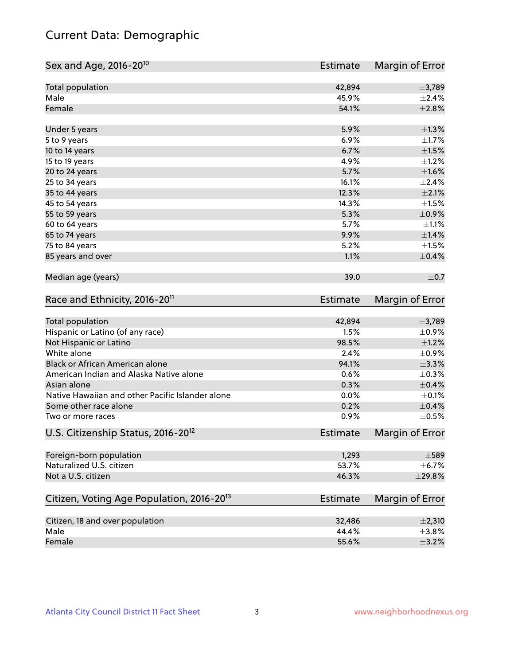## Current Data: Demographic

| Sex and Age, 2016-20 <sup>10</sup>                    | <b>Estimate</b> | Margin of Error |
|-------------------------------------------------------|-----------------|-----------------|
| Total population                                      | 42,894          | ±3,789          |
| Male                                                  | 45.9%           | $\pm 2.4\%$     |
| Female                                                | 54.1%           | $\pm 2.8\%$     |
| Under 5 years                                         | 5.9%            | $\pm$ 1.3%      |
| 5 to 9 years                                          | 6.9%            | $\pm$ 1.7%      |
| 10 to 14 years                                        | 6.7%            | $\pm 1.5\%$     |
| 15 to 19 years                                        | 4.9%            | $\pm$ 1.2%      |
| 20 to 24 years                                        | 5.7%            | $\pm1.6\%$      |
| 25 to 34 years                                        | 16.1%           | $\pm 2.4\%$     |
| 35 to 44 years                                        | 12.3%           | $\pm 2.1\%$     |
| 45 to 54 years                                        | 14.3%           | $\pm 1.5\%$     |
| 55 to 59 years                                        | 5.3%            | $\pm$ 0.9%      |
| 60 to 64 years                                        | 5.7%            | $\pm 1.1\%$     |
| 65 to 74 years                                        | 9.9%            | $\pm1.4\%$      |
| 75 to 84 years                                        | 5.2%            | $\pm1.5\%$      |
| 85 years and over                                     | 1.1%            | $\pm$ 0.4%      |
| Median age (years)                                    | 39.0            | $\pm$ 0.7       |
| Race and Ethnicity, 2016-20 <sup>11</sup>             | <b>Estimate</b> | Margin of Error |
| <b>Total population</b>                               | 42,894          | ±3,789          |
| Hispanic or Latino (of any race)                      | 1.5%            | $\pm$ 0.9%      |
| Not Hispanic or Latino                                | 98.5%           | $\pm 1.2\%$     |
| White alone                                           | 2.4%            | $\pm$ 0.9%      |
| Black or African American alone                       | 94.1%           | ±3.3%           |
| American Indian and Alaska Native alone               | 0.6%            | $\pm$ 0.3%      |
| Asian alone                                           | 0.3%            | $\pm$ 0.4%      |
| Native Hawaiian and other Pacific Islander alone      | 0.0%            | $\pm$ 0.1%      |
| Some other race alone                                 | 0.2%            | $\pm$ 0.4%      |
| Two or more races                                     | 0.9%            | $\pm$ 0.5%      |
| U.S. Citizenship Status, 2016-20 <sup>12</sup>        | <b>Estimate</b> | Margin of Error |
| Foreign-born population                               | 1,293           | $\pm$ 589       |
| Naturalized U.S. citizen                              | 53.7%           | $\pm$ 6.7%      |
| Not a U.S. citizen                                    | 46.3%           | ±29.8%          |
| Citizen, Voting Age Population, 2016-20 <sup>13</sup> | <b>Estimate</b> | Margin of Error |
| Citizen, 18 and over population                       | 32,486          | ±2,310          |
| Male                                                  | 44.4%           | $\pm$ 3.8%      |
| Female                                                | 55.6%           | $\pm$ 3.2%      |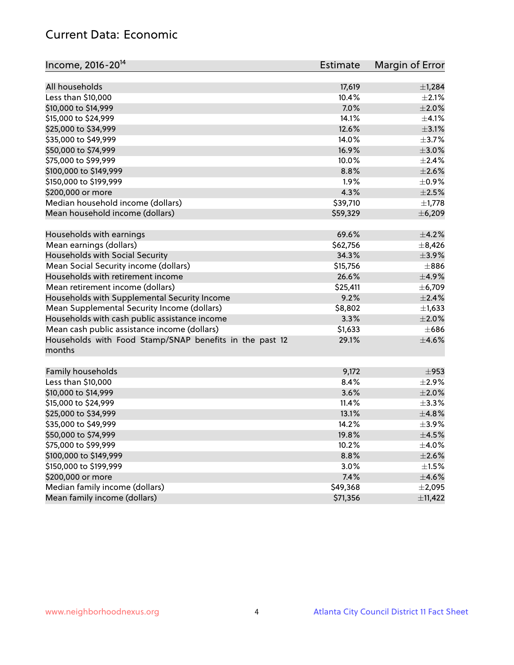## Current Data: Economic

| Income, 2016-20 <sup>14</sup>                                     | <b>Estimate</b> | Margin of Error |
|-------------------------------------------------------------------|-----------------|-----------------|
| All households                                                    | 17,619          | ±1,284          |
| Less than \$10,000                                                | 10.4%           | $\pm 2.1\%$     |
| \$10,000 to \$14,999                                              | 7.0%            | $\pm 2.0\%$     |
| \$15,000 to \$24,999                                              | 14.1%           | $\pm 4.1\%$     |
| \$25,000 to \$34,999                                              | 12.6%           | $\pm$ 3.1%      |
|                                                                   | 14.0%           | $\pm$ 3.7%      |
| \$35,000 to \$49,999                                              | 16.9%           |                 |
| \$50,000 to \$74,999                                              |                 | $\pm 3.0\%$     |
| \$75,000 to \$99,999                                              | 10.0%           | $\pm 2.4\%$     |
| \$100,000 to \$149,999                                            | 8.8%            | $\pm 2.6\%$     |
| \$150,000 to \$199,999                                            | 1.9%            | $\pm$ 0.9%      |
| \$200,000 or more                                                 | 4.3%            | $\pm 2.5\%$     |
| Median household income (dollars)                                 | \$39,710        | $\pm$ 1,778     |
| Mean household income (dollars)                                   | \$59,329        | ± 6,209         |
| Households with earnings                                          | 69.6%           | $\pm$ 4.2%      |
| Mean earnings (dollars)                                           | \$62,756        | $\pm$ 8,426     |
| Households with Social Security                                   | 34.3%           | $\pm$ 3.9%      |
| Mean Social Security income (dollars)                             | \$15,756        | $\pm$ 886       |
| Households with retirement income                                 | 26.6%           | ±4.9%           |
| Mean retirement income (dollars)                                  | \$25,411        | $\pm$ 6,709     |
| Households with Supplemental Security Income                      | 9.2%            | $\pm 2.4\%$     |
| Mean Supplemental Security Income (dollars)                       | \$8,802         | $\pm$ 1,633     |
| Households with cash public assistance income                     | 3.3%            | $\pm 2.0\%$     |
| Mean cash public assistance income (dollars)                      | \$1,633         | $\pm 686$       |
| Households with Food Stamp/SNAP benefits in the past 12<br>months | 29.1%           | $\pm 4.6\%$     |
|                                                                   |                 |                 |
| Family households                                                 | 9,172           | $\pm$ 953       |
| Less than \$10,000                                                | 8.4%            | ±2.9%           |
| \$10,000 to \$14,999                                              | 3.6%            | $\pm 2.0\%$     |
| \$15,000 to \$24,999                                              | 11.4%           | ±3.3%           |
| \$25,000 to \$34,999                                              | 13.1%           | ±4.8%           |
| \$35,000 to \$49,999                                              | 14.2%           | $\pm$ 3.9%      |
| \$50,000 to \$74,999                                              | 19.8%           | $\pm 4.5\%$     |
| \$75,000 to \$99,999                                              | 10.2%           | $\pm$ 4.0%      |
| \$100,000 to \$149,999                                            | 8.8%            | $\pm 2.6\%$     |
| \$150,000 to \$199,999                                            | 3.0%            | $\pm 1.5\%$     |
| \$200,000 or more                                                 | 7.4%            | $\pm$ 4.6%      |
| Median family income (dollars)                                    | \$49,368        | ±2,095          |
| Mean family income (dollars)                                      | \$71,356        | ±11,422         |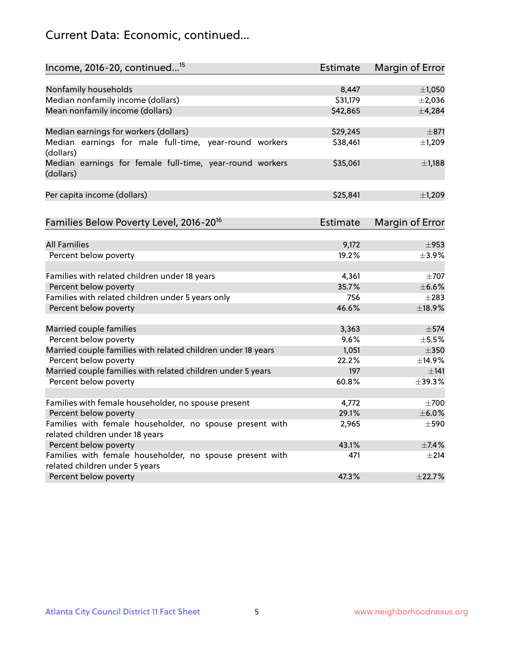## Current Data: Economic, continued...

| Income, 2016-20, continued <sup>15</sup>                                                   | <b>Estimate</b> | Margin of Error |
|--------------------------------------------------------------------------------------------|-----------------|-----------------|
|                                                                                            |                 |                 |
| Nonfamily households                                                                       | 8,447           | $\pm$ 1,050     |
| Median nonfamily income (dollars)                                                          | \$31,179        | $\pm 2,036$     |
| Mean nonfamily income (dollars)                                                            | \$42,865        | ±4,284          |
| Median earnings for workers (dollars)                                                      | \$29,245        | $\pm$ 871       |
| Median earnings for male full-time, year-round workers<br>(dollars)                        | \$38,461        | ±1,209          |
| Median earnings for female full-time, year-round workers<br>(dollars)                      | \$35,061        | $\pm$ 1,188     |
| Per capita income (dollars)                                                                | \$25,841        | ±1,209          |
| Families Below Poverty Level, 2016-20 <sup>16</sup>                                        | <b>Estimate</b> | Margin of Error |
|                                                                                            |                 |                 |
| <b>All Families</b>                                                                        | 9,172           | $\pm$ 953       |
| Percent below poverty                                                                      | 19.2%           | $\pm$ 3.9%      |
| Families with related children under 18 years                                              | 4,361           | $\pm$ 707       |
| Percent below poverty                                                                      | 35.7%           | $\pm$ 6.6%      |
| Families with related children under 5 years only                                          | 756             | $\pm 283$       |
| Percent below poverty                                                                      | 46.6%           | ±18.9%          |
| Married couple families                                                                    | 3,363           | $\pm$ 574       |
| Percent below poverty                                                                      | 9.6%            | $\pm$ 5.5%      |
| Married couple families with related children under 18 years                               | 1,051           | $\pm$ 350       |
| Percent below poverty                                                                      | 22.2%           | ±14.9%          |
| Married couple families with related children under 5 years                                | 197             | $\pm$ 141       |
| Percent below poverty                                                                      | 60.8%           | ±39.3%          |
|                                                                                            |                 |                 |
| Families with female householder, no spouse present                                        | 4,772           | $\pm 700$       |
| Percent below poverty                                                                      | 29.1%           | $\pm$ 6.0%      |
| Families with female householder, no spouse present with                                   | 2,965           | $\pm$ 590       |
| related children under 18 years                                                            | 43.1%           | ±7.4%           |
| Percent below poverty                                                                      |                 |                 |
| Families with female householder, no spouse present with<br>related children under 5 years | 471             | $\pm 214$       |
| Percent below poverty                                                                      | 47.3%           | ±22.7%          |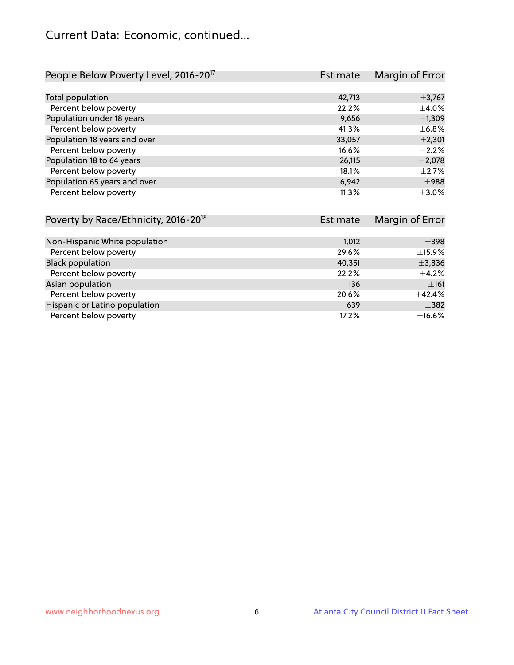## Current Data: Economic, continued...

| People Below Poverty Level, 2016-20 <sup>17</sup> | <b>Estimate</b> | Margin of Error |
|---------------------------------------------------|-----------------|-----------------|
|                                                   |                 |                 |
| Total population                                  | 42,713          | $\pm$ 3,767     |
| Percent below poverty                             | 22.2%           | $\pm 4.0\%$     |
| Population under 18 years                         | 9,656           | $\pm$ 1,309     |
| Percent below poverty                             | 41.3%           | $\pm$ 6.8%      |
| Population 18 years and over                      | 33,057          | $\pm 2,301$     |
| Percent below poverty                             | 16.6%           | $\pm 2.2\%$     |
| Population 18 to 64 years                         | 26,115          | $\pm 2,078$     |
| Percent below poverty                             | 18.1%           | $+2.7%$         |
| Population 65 years and over                      | 6,942           | $\pm$ 988       |
| Percent below poverty                             | 11.3%           | $\pm$ 3.0%      |

| Poverty by Race/Ethnicity, 2016-20 <sup>18</sup><br>Estimate |        | Margin of Error |  |
|--------------------------------------------------------------|--------|-----------------|--|
|                                                              |        |                 |  |
| Non-Hispanic White population                                | 1,012  | $\pm$ 398       |  |
| Percent below poverty                                        | 29.6%  | $\pm$ 15.9%     |  |
| <b>Black population</b>                                      | 40,351 | ±3,836          |  |
| Percent below poverty                                        | 22.2%  | $\pm$ 4.2%      |  |
| Asian population                                             | 136    | ±161            |  |
| Percent below poverty                                        | 20.6%  | ±42.4%          |  |
| Hispanic or Latino population                                | 639    | $\pm$ 382       |  |
| Percent below poverty                                        | 17.2%  | ±16.6%          |  |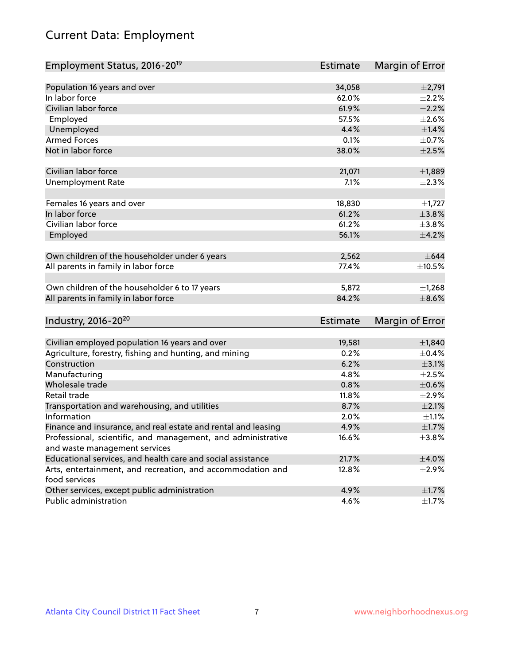# Current Data: Employment

| Employment Status, 2016-20 <sup>19</sup>                      | Estimate        | Margin of Error |
|---------------------------------------------------------------|-----------------|-----------------|
|                                                               |                 |                 |
| Population 16 years and over                                  | 34,058          | $\pm 2,791$     |
| In labor force                                                | 62.0%           | $\pm 2.2\%$     |
| Civilian labor force                                          | 61.9%           | $\pm 2.2\%$     |
| Employed                                                      | 57.5%           | $\pm 2.6\%$     |
| Unemployed                                                    | 4.4%            | $\pm$ 1.4%      |
| <b>Armed Forces</b>                                           | 0.1%            | $\pm$ 0.7%      |
| Not in labor force                                            | 38.0%           | $\pm 2.5\%$     |
|                                                               |                 |                 |
| Civilian labor force                                          | 21,071          | ±1,889          |
| <b>Unemployment Rate</b>                                      | 7.1%            | $\pm 2.3\%$     |
| Females 16 years and over                                     | 18,830          | $\pm$ 1,727     |
| In labor force                                                | 61.2%           | ±3.8%           |
| Civilian labor force                                          | 61.2%           | $\pm$ 3.8%      |
| Employed                                                      | 56.1%           | $\pm 4.2\%$     |
|                                                               |                 |                 |
| Own children of the householder under 6 years                 | 2,562           | $\pm 644$       |
| All parents in family in labor force                          | 77.4%           | $\pm 10.5\%$    |
|                                                               |                 |                 |
| Own children of the householder 6 to 17 years                 | 5,872           | ±1,268          |
| All parents in family in labor force                          | 84.2%           | $\pm$ 8.6%      |
|                                                               |                 |                 |
| Industry, 2016-20 <sup>20</sup>                               | <b>Estimate</b> | Margin of Error |
|                                                               |                 |                 |
| Civilian employed population 16 years and over                | 19,581          | ±1,840          |
| Agriculture, forestry, fishing and hunting, and mining        | 0.2%            | $\pm$ 0.4%      |
| Construction                                                  | 6.2%            | $\pm$ 3.1%      |
| Manufacturing                                                 | 4.8%            | $\pm 2.5\%$     |
| Wholesale trade                                               | 0.8%            | $\pm$ 0.6%      |
| Retail trade                                                  | 11.8%           | $\pm 2.9\%$     |
| Transportation and warehousing, and utilities                 | 8.7%            | $\pm 2.1\%$     |
| Information                                                   | 2.0%            | $\pm 1.1\%$     |
| Finance and insurance, and real estate and rental and leasing | 4.9%            | $\pm1.7\%$      |
| Professional, scientific, and management, and administrative  | 16.6%           | $\pm$ 3.8%      |
| and waste management services                                 |                 |                 |
| Educational services, and health care and social assistance   | 21.7%           | $\pm$ 4.0%      |
| Arts, entertainment, and recreation, and accommodation and    | 12.8%           | $\pm 2.9\%$     |
| food services                                                 |                 |                 |
| Other services, except public administration                  | 4.9%            | $\pm 1.7\%$     |
| Public administration                                         | 4.6%            | $\pm$ 1.7%      |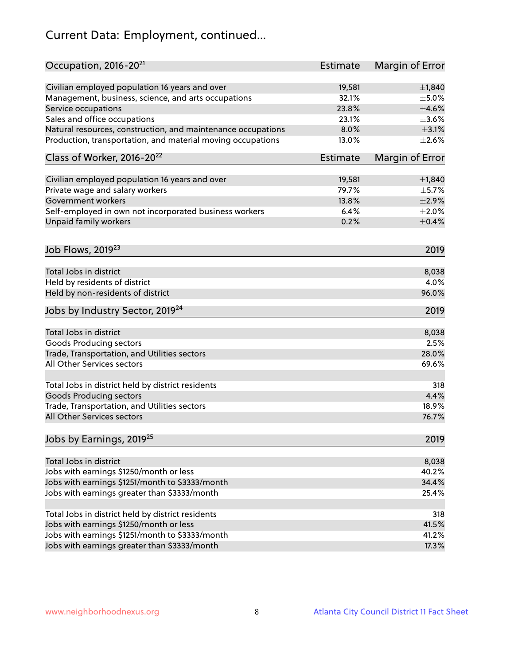# Current Data: Employment, continued...

| Occupation, 2016-20 <sup>21</sup>                            | Estimate        | Margin of Error |
|--------------------------------------------------------------|-----------------|-----------------|
| Civilian employed population 16 years and over               | 19,581          | ±1,840          |
| Management, business, science, and arts occupations          | 32.1%           | $\pm$ 5.0%      |
| Service occupations                                          | 23.8%           | $\pm 4.6\%$     |
| Sales and office occupations                                 | 23.1%           | $\pm 3.6\%$     |
| Natural resources, construction, and maintenance occupations | 8.0%            | $\pm$ 3.1%      |
| Production, transportation, and material moving occupations  | 13.0%           | $\pm 2.6\%$     |
| Class of Worker, 2016-20 <sup>22</sup>                       | <b>Estimate</b> | Margin of Error |
| Civilian employed population 16 years and over               | 19,581          | ±1,840          |
| Private wage and salary workers                              | 79.7%           | $\pm$ 5.7%      |
| Government workers                                           | 13.8%           | $\pm 2.9\%$     |
| Self-employed in own not incorporated business workers       | 6.4%            | $\pm 2.0\%$     |
| Unpaid family workers                                        | 0.2%            | $\pm$ 0.4%      |
| Job Flows, 2019 <sup>23</sup>                                |                 | 2019            |
| Total Jobs in district                                       |                 | 8,038           |
| Held by residents of district                                |                 | 4.0%            |
| Held by non-residents of district                            |                 | 96.0%           |
| Jobs by Industry Sector, 2019 <sup>24</sup>                  |                 | 2019            |
|                                                              |                 |                 |
| Total Jobs in district                                       |                 | 8,038           |
| <b>Goods Producing sectors</b>                               |                 | 2.5%            |
| Trade, Transportation, and Utilities sectors                 |                 | 28.0%           |
| All Other Services sectors                                   |                 | 69.6%           |
| Total Jobs in district held by district residents            |                 | 318             |
| <b>Goods Producing sectors</b>                               |                 | 4.4%            |
| Trade, Transportation, and Utilities sectors                 |                 | 18.9%           |
| All Other Services sectors                                   |                 | 76.7%           |
| Jobs by Earnings, 2019 <sup>25</sup>                         |                 | 2019            |
| Total Jobs in district                                       |                 | 8,038           |
| Jobs with earnings \$1250/month or less                      |                 | 40.2%           |
| Jobs with earnings \$1251/month to \$3333/month              |                 | 34.4%           |
| Jobs with earnings greater than \$3333/month                 |                 | 25.4%           |
| Total Jobs in district held by district residents            |                 | 318             |
| Jobs with earnings \$1250/month or less                      |                 | 41.5%           |
| Jobs with earnings \$1251/month to \$3333/month              |                 | 41.2%           |
| Jobs with earnings greater than \$3333/month                 |                 | 17.3%           |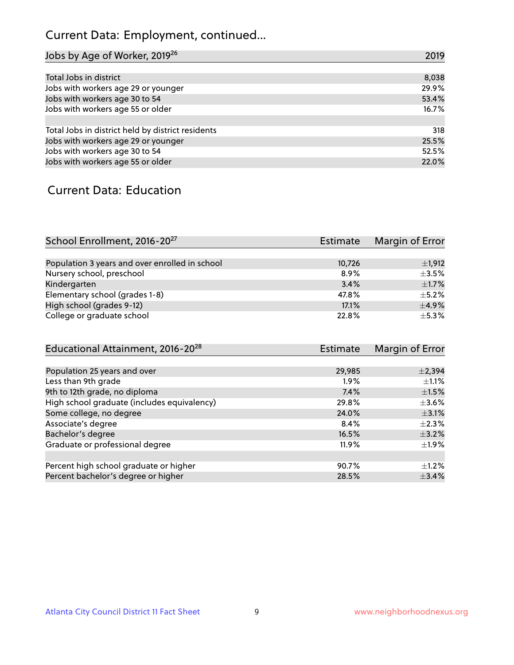# Current Data: Employment, continued...

| Jobs by Age of Worker, 2019 <sup>26</sup>         | 2019  |
|---------------------------------------------------|-------|
|                                                   |       |
| Total Jobs in district                            | 8,038 |
| Jobs with workers age 29 or younger               | 29.9% |
| Jobs with workers age 30 to 54                    | 53.4% |
| Jobs with workers age 55 or older                 | 16.7% |
|                                                   |       |
| Total Jobs in district held by district residents | 318   |
| Jobs with workers age 29 or younger               | 25.5% |
| Jobs with workers age 30 to 54                    | 52.5% |
| Jobs with workers age 55 or older                 | 22.0% |

#### Current Data: Education

| School Enrollment, 2016-20 <sup>27</sup>       | Estimate | Margin of Error |
|------------------------------------------------|----------|-----------------|
|                                                |          |                 |
| Population 3 years and over enrolled in school | 10,726   | $\pm$ 1,912     |
| Nursery school, preschool                      | 8.9%     | $\pm$ 3.5%      |
| Kindergarten                                   | 3.4%     | $+1.7%$         |
| Elementary school (grades 1-8)                 | 47.8%    | $\pm$ 5.2%      |
| High school (grades 9-12)                      | 17.1%    | $+4.9%$         |
| College or graduate school                     | 22.8%    | $\pm$ 5.3%      |

| Educational Attainment, 2016-20 <sup>28</sup> | <b>Estimate</b> | Margin of Error |
|-----------------------------------------------|-----------------|-----------------|
|                                               |                 |                 |
| Population 25 years and over                  | 29,985          | $\pm 2,394$     |
| Less than 9th grade                           | 1.9%            | $\pm 1.1\%$     |
| 9th to 12th grade, no diploma                 | 7.4%            | $\pm 1.5\%$     |
| High school graduate (includes equivalency)   | 29.8%           | $\pm$ 3.6%      |
| Some college, no degree                       | 24.0%           | $\pm$ 3.1%      |
| Associate's degree                            | 8.4%            | $\pm 2.3\%$     |
| Bachelor's degree                             | 16.5%           | $\pm$ 3.2%      |
| Graduate or professional degree               | 11.9%           | $\pm 1.9\%$     |
|                                               |                 |                 |
| Percent high school graduate or higher        | 90.7%           | $+1.2%$         |
| Percent bachelor's degree or higher           | 28.5%           | ±3.4%           |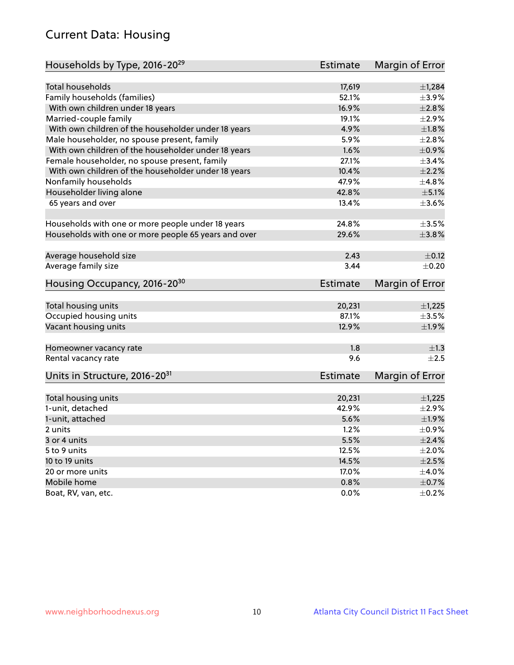## Current Data: Housing

| Households by Type, 2016-20 <sup>29</sup>            | <b>Estimate</b> | Margin of Error            |
|------------------------------------------------------|-----------------|----------------------------|
|                                                      |                 |                            |
| <b>Total households</b>                              | 17,619          | ±1,284                     |
| Family households (families)                         | 52.1%           | $\pm$ 3.9%                 |
| With own children under 18 years                     | 16.9%           | ±2.8%                      |
| Married-couple family                                | 19.1%           | ±2.9%                      |
| With own children of the householder under 18 years  | 4.9%            | $\pm1.8\%$                 |
| Male householder, no spouse present, family          | 5.9%            | $\pm 2.8\%$                |
| With own children of the householder under 18 years  | 1.6%            | $\pm$ 0.9%                 |
| Female householder, no spouse present, family        | 27.1%           | ±3.4%                      |
| With own children of the householder under 18 years  | 10.4%           | $\pm 2.2\%$                |
| Nonfamily households                                 | 47.9%           | ±4.8%                      |
| Householder living alone                             | 42.8%           | $\pm$ 5.1%                 |
| 65 years and over                                    | 13.4%           | $\pm 3.6\%$                |
|                                                      |                 |                            |
| Households with one or more people under 18 years    | 24.8%           | $\pm 3.5\%$                |
| Households with one or more people 65 years and over | 29.6%           | $\pm$ 3.8%                 |
|                                                      |                 |                            |
| Average household size                               | 2.43            | $\pm$ 0.12                 |
| Average family size                                  | 3.44            | $\pm$ 0.20                 |
| Housing Occupancy, 2016-20 <sup>30</sup>             | <b>Estimate</b> | Margin of Error            |
|                                                      |                 |                            |
| Total housing units                                  | 20,231          | $\pm$ 1,225                |
| Occupied housing units                               | 87.1%           | $\pm$ 3.5%                 |
| Vacant housing units                                 | 12.9%           | ±1.9%                      |
|                                                      |                 |                            |
| Homeowner vacancy rate                               | 1.8             | $\pm 1.3$                  |
| Rental vacancy rate                                  | 9.6             | $\pm 2.5$                  |
| Units in Structure, 2016-20 <sup>31</sup>            | <b>Estimate</b> | Margin of Error            |
|                                                      |                 |                            |
| Total housing units                                  | 20,231          | $\pm$ 1,225<br>$\pm 2.9\%$ |
| 1-unit, detached                                     | 42.9%           |                            |
| 1-unit, attached                                     | 5.6%            | ±1.9%                      |
| 2 units                                              | 1.2%            | $\pm$ 0.9%                 |
| 3 or 4 units                                         | 5.5%            | $\pm 2.4\%$                |
| 5 to 9 units                                         | 12.5%           | $\pm 2.0\%$                |
| 10 to 19 units                                       | 14.5%           | $\pm 2.5\%$                |
| 20 or more units                                     | 17.0%           | $\pm$ 4.0%                 |
| Mobile home                                          | 0.8%            | $\pm$ 0.7%                 |
| Boat, RV, van, etc.                                  | 0.0%            | $\pm$ 0.2%                 |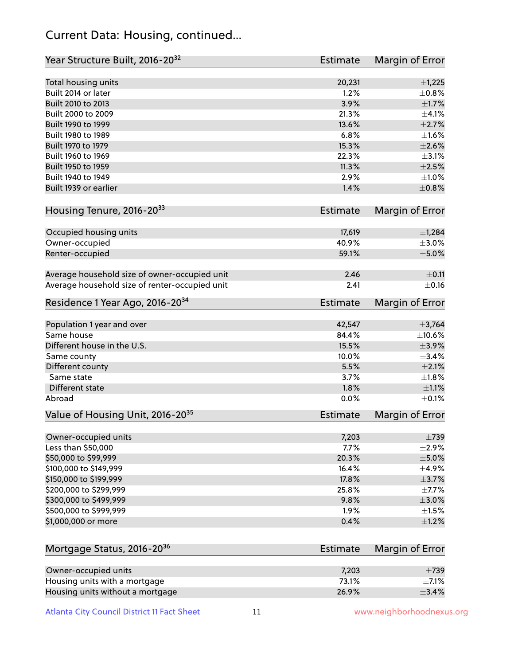## Current Data: Housing, continued...

| Year Structure Built, 2016-20 <sup>32</sup>    | <b>Estimate</b> | Margin of Error |
|------------------------------------------------|-----------------|-----------------|
| Total housing units                            | 20,231          | $\pm$ 1,225     |
| Built 2014 or later                            | 1.2%            | $\pm$ 0.8%      |
| Built 2010 to 2013                             | 3.9%            | $\pm1.7\%$      |
| Built 2000 to 2009                             | 21.3%           | $\pm 4.1\%$     |
| Built 1990 to 1999                             | 13.6%           | $\pm 2.7\%$     |
| Built 1980 to 1989                             | 6.8%            | $\pm 1.6\%$     |
| Built 1970 to 1979                             | 15.3%           | $\pm 2.6\%$     |
| Built 1960 to 1969                             | 22.3%           | $\pm$ 3.1%      |
| Built 1950 to 1959                             | 11.3%           | $\pm 2.5\%$     |
| Built 1940 to 1949                             | 2.9%            | $\pm 1.0\%$     |
| Built 1939 or earlier                          | 1.4%            | $\pm 0.8\%$     |
| Housing Tenure, 2016-2033                      | <b>Estimate</b> | Margin of Error |
|                                                |                 |                 |
| Occupied housing units                         | 17,619          | ±1,284          |
| Owner-occupied                                 | 40.9%           | $\pm 3.0\%$     |
| Renter-occupied                                | 59.1%           | $\pm$ 5.0%      |
| Average household size of owner-occupied unit  | 2.46            | $\pm$ 0.11      |
| Average household size of renter-occupied unit | 2.41            | $\pm$ 0.16      |
| Residence 1 Year Ago, 2016-20 <sup>34</sup>    | <b>Estimate</b> | Margin of Error |
| Population 1 year and over                     | 42,547          | ±3,764          |
| Same house                                     | 84.4%           | ±10.6%          |
| Different house in the U.S.                    | 15.5%           | $\pm$ 3.9%      |
| Same county                                    | 10.0%           | $\pm$ 3.4%      |
| Different county                               | 5.5%            | $\pm 2.1\%$     |
| Same state                                     | 3.7%            | $\pm1.8\%$      |
| Different state                                | 1.8%            | $\pm 1.1\%$     |
| Abroad                                         | 0.0%            | $\pm$ 0.1%      |
| Value of Housing Unit, 2016-20 <sup>35</sup>   | <b>Estimate</b> | Margin of Error |
| Owner-occupied units                           | 7,203           | $\pm 739$       |
| Less than \$50,000                             | 7.7%            | $\pm 2.9\%$     |
| \$50,000 to \$99,999                           | 20.3%           | $\pm$ 5.0%      |
| \$100,000 to \$149,999                         | 16.4%           | $\pm$ 4.9%      |
| \$150,000 to \$199,999                         | 17.8%           | $\pm$ 3.7%      |
| \$200,000 to \$299,999                         | 25.8%           | $\pm$ 7.7%      |
| \$300,000 to \$499,999                         | 9.8%            | $\pm 3.0\%$     |
| \$500,000 to \$999,999                         | 1.9%            | $\pm 1.5\%$     |
| \$1,000,000 or more                            | 0.4%            | $\pm 1.2\%$     |
|                                                |                 |                 |
| Mortgage Status, 2016-20 <sup>36</sup>         | <b>Estimate</b> | Margin of Error |
| Owner-occupied units                           | 7,203           | $\pm 739$       |
| Housing units with a mortgage                  | 73.1%           | $\pm$ 7.1%      |
| Housing units without a mortgage               | 26.9%           | ±3.4%           |

Atlanta City Council District 11 Fact Sheet 11 11 1 www.neighborhoodnexus.org

Housing units without a mortgage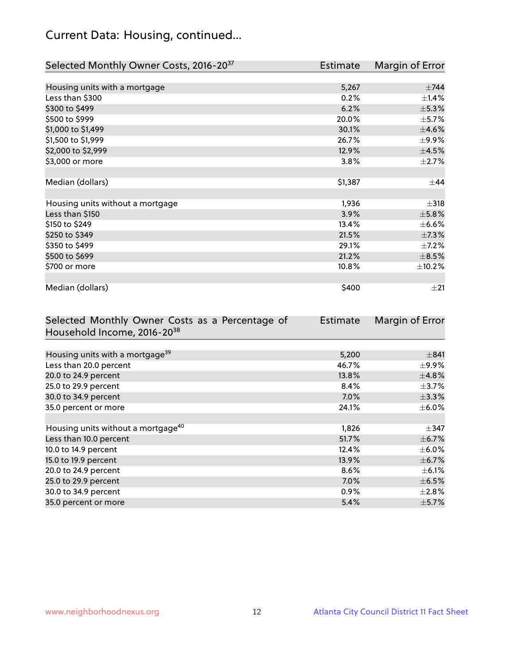## Current Data: Housing, continued...

| Selected Monthly Owner Costs, 2016-20 <sup>37</sup> | Estimate | Margin of Error |
|-----------------------------------------------------|----------|-----------------|
|                                                     |          |                 |
| Housing units with a mortgage                       | 5,267    | $\pm$ 744       |
| Less than \$300                                     | 0.2%     | $\pm$ 1.4%      |
| \$300 to \$499                                      | 6.2%     | $\pm$ 5.3%      |
| \$500 to \$999                                      | 20.0%    | $\pm$ 5.7%      |
| \$1,000 to \$1,499                                  | 30.1%    | $\pm$ 4.6%      |
| \$1,500 to \$1,999                                  | 26.7%    | $\pm$ 9.9%      |
| \$2,000 to \$2,999                                  | 12.9%    | $\pm$ 4.5%      |
| \$3,000 or more                                     | 3.8%     | $\pm 2.7\%$     |
|                                                     |          |                 |
| Median (dollars)                                    | \$1,387  | $\pm$ 44        |
|                                                     |          |                 |
| Housing units without a mortgage                    | 1,936    | $\pm$ 318       |
| Less than \$150                                     | 3.9%     | $\pm$ 5.8%      |
| \$150 to \$249                                      | 13.4%    | $\pm$ 6.6%      |
| \$250 to \$349                                      | 21.5%    | $\pm$ 7.3%      |
| \$350 to \$499                                      | 29.1%    | $\pm$ 7.2%      |
| \$500 to \$699                                      | 21.2%    | $\pm$ 8.5%      |
| \$700 or more                                       | 10.8%    | ±10.2%          |
|                                                     |          |                 |
| Median (dollars)                                    | \$400    | $\pm 21$        |

| Selected Monthly Owner Costs as a Percentage of | <b>Estimate</b> | Margin of Error |
|-------------------------------------------------|-----------------|-----------------|
| Household Income, 2016-20 <sup>38</sup>         |                 |                 |
|                                                 |                 |                 |
| Housing units with a mortgage <sup>39</sup>     | 5,200           | ±841            |
| Less than 20.0 percent                          | 46.7%           | $\pm$ 9.9%      |
| 20.0 to 24.9 percent                            | 13.8%           | $\pm$ 4.8%      |
| 25.0 to 29.9 percent                            | 8.4%            | $\pm$ 3.7%      |
| 30.0 to 34.9 percent                            | 7.0%            | $\pm$ 3.3%      |
| 35.0 percent or more                            | 24.1%           | $\pm$ 6.0%      |
|                                                 |                 |                 |
| Housing units without a mortgage <sup>40</sup>  | 1,826           | $\pm$ 347       |
| Less than 10.0 percent                          | 51.7%           | $\pm$ 6.7%      |
| 10.0 to 14.9 percent                            | 12.4%           | $\pm$ 6.0%      |
| 15.0 to 19.9 percent                            | 13.9%           | $\pm$ 6.7%      |
| 20.0 to 24.9 percent                            | 8.6%            | $\pm$ 6.1%      |
| 25.0 to 29.9 percent                            | $7.0\%$         | $\pm$ 6.5%      |
| 30.0 to 34.9 percent                            | $0.9\%$         | $\pm 2.8\%$     |
| 35.0 percent or more                            | 5.4%            | $\pm$ 5.7%      |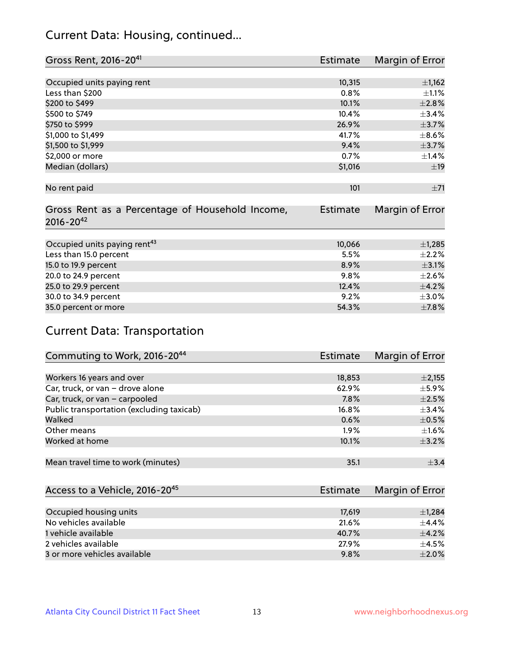## Current Data: Housing, continued...

| Gross Rent, 2016-2041                           | <b>Estimate</b> | Margin of Error |
|-------------------------------------------------|-----------------|-----------------|
|                                                 |                 |                 |
| Occupied units paying rent                      | 10,315          | $\pm$ 1,162     |
| Less than \$200                                 | 0.8%            | $\pm 1.1\%$     |
| \$200 to \$499                                  | 10.1%           | $\pm 2.8\%$     |
| \$500 to \$749                                  | 10.4%           | $\pm$ 3.4%      |
| \$750 to \$999                                  | 26.9%           | $\pm$ 3.7%      |
| \$1,000 to \$1,499                              | 41.7%           | $\pm$ 8.6%      |
| \$1,500 to \$1,999                              | 9.4%            | $\pm$ 3.7%      |
| \$2,000 or more                                 | 0.7%            | $\pm$ 1.4%      |
| Median (dollars)                                | \$1,016         | ±19             |
|                                                 |                 |                 |
| No rent paid                                    | 101             | ±71             |
|                                                 |                 |                 |
| Gross Rent as a Percentage of Household Income, | <b>Estimate</b> | Margin of Error |
| $2016 - 20^{42}$                                |                 |                 |
|                                                 |                 |                 |
| Occupied units paying rent <sup>43</sup>        | 10,066          | $\pm$ 1,285     |
| Less than 15.0 percent                          | 5.5%            | $\pm 2.2\%$     |
| 15.0 to 19.9 percent                            | 8.9%            | $\pm$ 3.1%      |
| 20.0 to 24.9 percent                            | 9.8%            | $\pm 2.6\%$     |
| 25.0 to 29.9 percent                            | 12.4%           | $\pm$ 4.2%      |
| 30.0 to 34.9 percent                            | 9.2%            | $\pm 3.0\%$     |
| 35.0 percent or more                            | 54.3%           | $\pm$ 7.8%      |

## Current Data: Transportation

| Commuting to Work, 2016-20 <sup>44</sup>  | <b>Estimate</b> | Margin of Error |
|-------------------------------------------|-----------------|-----------------|
|                                           |                 |                 |
| Workers 16 years and over                 | 18,853          | $\pm 2,155$     |
| Car, truck, or van - drove alone          | 62.9%           | ±5.9%           |
| Car, truck, or van - carpooled            | 7.8%            | $\pm 2.5\%$     |
| Public transportation (excluding taxicab) | 16.8%           | $\pm$ 3.4%      |
| Walked                                    | 0.6%            | $\pm$ 0.5%      |
| Other means                               | 1.9%            | $\pm 1.6\%$     |
| Worked at home                            | 10.1%           | $\pm$ 3.2%      |
|                                           |                 |                 |
| Mean travel time to work (minutes)        | 35.1            | $\pm$ 3.4       |

| Access to a Vehicle, 2016-20 <sup>45</sup> | Estimate | Margin of Error |
|--------------------------------------------|----------|-----------------|
|                                            |          |                 |
| Occupied housing units                     | 17,619   | $\pm$ 1,284     |
| No vehicles available                      | 21.6%    | $+4.4%$         |
| 1 vehicle available                        | 40.7%    | $\pm$ 4.2%      |
| 2 vehicles available                       | 27.9%    | $+4.5%$         |
| 3 or more vehicles available               | 9.8%     | $+2.0%$         |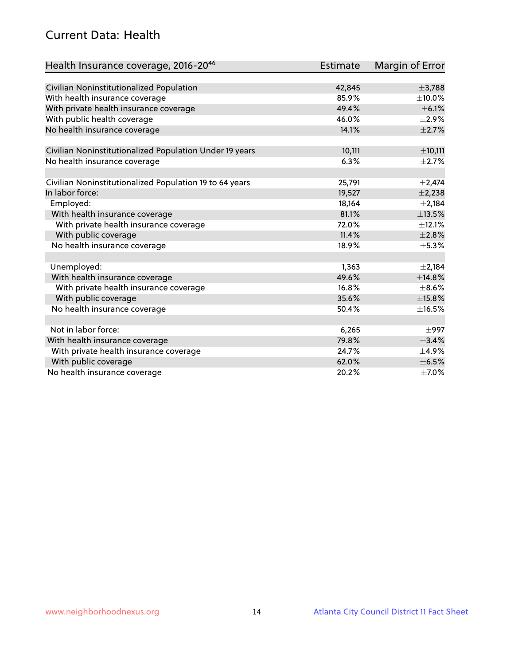## Current Data: Health

| Health Insurance coverage, 2016-2046                    | <b>Estimate</b> | <b>Margin of Error</b> |
|---------------------------------------------------------|-----------------|------------------------|
|                                                         |                 |                        |
| Civilian Noninstitutionalized Population                | 42,845          | ±3,788                 |
| With health insurance coverage                          | 85.9%           | $\pm$ 10.0%            |
| With private health insurance coverage                  | 49.4%           | $\pm$ 6.1%             |
| With public health coverage                             | 46.0%           | $\pm 2.9\%$            |
| No health insurance coverage                            | 14.1%           | $\pm 2.7\%$            |
|                                                         |                 | ±10,111                |
| Civilian Noninstitutionalized Population Under 19 years | 10,111<br>6.3%  |                        |
| No health insurance coverage                            |                 | $\pm 2.7\%$            |
| Civilian Noninstitutionalized Population 19 to 64 years | 25,791          | $\pm 2,474$            |
| In labor force:                                         | 19,527          | $\pm$ 2,238            |
| Employed:                                               | 18,164          | $\pm 2,184$            |
| With health insurance coverage                          | 81.1%           | $\pm$ 13.5%            |
| With private health insurance coverage                  | 72.0%           | $\pm$ 12.1%            |
| With public coverage                                    | 11.4%           | $\pm 2.8\%$            |
| No health insurance coverage                            | 18.9%           | $\pm$ 5.3%             |
|                                                         |                 |                        |
| Unemployed:                                             | 1,363           | $\pm 2,184$            |
| With health insurance coverage                          | 49.6%           | ±14.8%                 |
| With private health insurance coverage                  | 16.8%           | $\pm$ 8.6%             |
| With public coverage                                    | 35.6%           | ±15.8%                 |
| No health insurance coverage                            | 50.4%           | ±16.5%                 |
|                                                         |                 |                        |
| Not in labor force:                                     | 6,265           | $\pm$ 997              |
| With health insurance coverage                          | 79.8%           | ±3.4%                  |
| With private health insurance coverage                  | 24.7%           | $\pm$ 4.9%             |
| With public coverage                                    | 62.0%           | $\pm$ 6.5%             |
| No health insurance coverage                            | 20.2%           | $\pm$ 7.0%             |